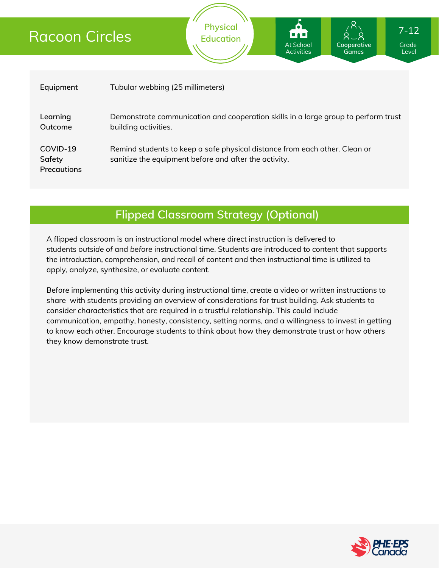# Racoon Circles

| Equipment                         | Tubular webbing (25 millimeters)                                                                                                    |
|-----------------------------------|-------------------------------------------------------------------------------------------------------------------------------------|
| Learning<br>Outcome               | Demonstrate communication and cooperation skills in a large group to perform trust<br>building activities.                          |
| COVID-19<br>Safety<br>Precautions | Remind students to keep a safe physical distance from each other. Clean or<br>sanitize the equipment before and after the activity. |

**Physical Education**

## **Flipped Classroom Strategy (Optional)**

A flipped classroom is an instructional model where direct instruction is delivered to students *outside of* and *before* instructional time. Students are introduced to content that supports the introduction, comprehension, and recall of content and then instructional time is utilized to apply, analyze, synthesize, or evaluate content.

Before implementing this activity during instructional time, create a video or written instructions to share with students providing an overview of considerations for trust building. Ask students to consider characteristics that are required in a trustful relationship. This could include communication, empathy, honesty, consistency, setting norms, and a willingness to invest in getting to know each other. Encourage students to think about how they demonstrate trust or how others they know demonstrate trust.



Grade Level

**Cooperative Games**

At School **Activities** 

7-12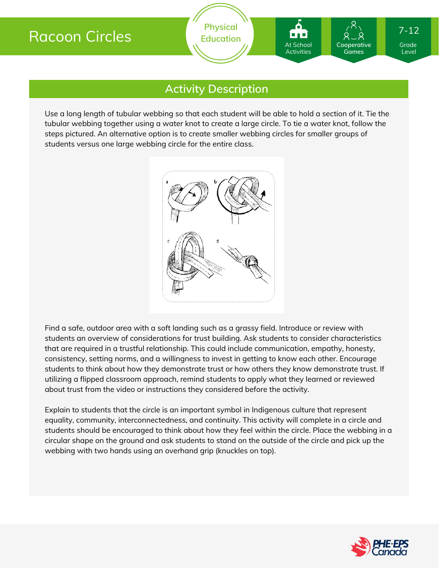

## **Activity Description**

Use a long length of tubular webbing so that each student will be able to hold a section of it. Tie the tubular webbing together using a water knot to create a large circle. To tie a water knot, follow the steps pictured. An alternative option is to create smaller webbing circles for smaller groups of students versus one large webbing circle for the entire class.



Find a safe, outdoor area with a soft landing such as a grassy field. Introduce or review with students an overview of considerations for trust building. Ask students to consider characteristics that are required in a trustful relationship. This could include communication, empathy, honesty, consistency, setting norms, and a willingness to invest in getting to know each other. Encourage students to think about how they demonstrate trust or how others they know demonstrate trust. If utilizing a flipped classroom approach, remind students to apply what they learned or reviewed about trust from the video or instructions they considered before the activity.

Explain to students that the circle is an important symbol in Indigenous culture that represent equality, community, interconnectedness, and continuity. This activity will complete in a circle and students should be encouraged to think about how they feel within the circle. Place the webbing in a circular shape on the ground and ask students to stand on the outside of the circle and pick up the webbing with two hands using an overhand grip (knuckles on top).

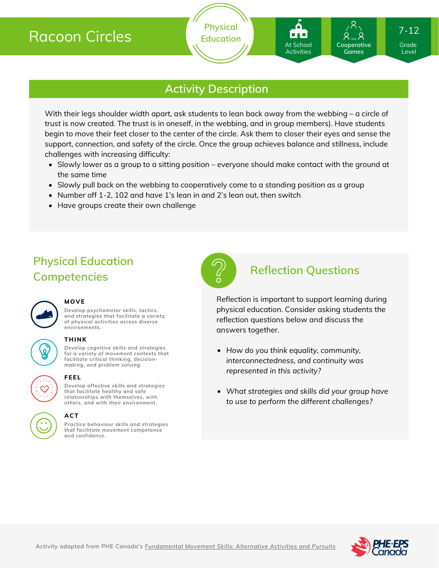# Racoon Circles

Grade Level

**Cooperative Games**

## **Activity Description**

With their legs shoulder width apart, ask students to lean back away from the webbing – a circle of trust is now created. The trust is in oneself, in the webbing, and in group members). Have students begin to move their feet closer to the center of the circle. Ask them to closer their eyes and sense the support, connection, and safety of the circle. Once the group achieves balance and stillness, include challenges with increasing difficulty:

- Slowly lower as a group to a sitting position everyone should make contact with the ground at the same time
- Slowly pull back on the webbing to cooperatively come to a standing position as a group
- Number off 1-2, 102 and have 1's lean in and 2's lean out, then switch
- Have groups create their own challenge

# **Physical Education Competencies**



#### **MOVE**

**THINK**

**Develop psychomotor skills, tactics, and strategies that facilitate a variety of physical activities across diverse environments.**

**Develop cognitive skills and strategies for a variety of movement contexts that facilitate critical thinking, decision making, and problem solving.**

# $\overline{\mathbf{Q}}$

#### **FEEL**

**Develop affective skills and strategies that facilitate healthy and safe relationships with themselves, with others, and with their environment.**

# **ACT**

**Practice behaviour skills and strategies that facilitate movement competence and confidence.**



### **Reflection Questions**

Reflection is important to support learning during physical education. Consider asking students the reflection questions below and discuss the answers together.

- *How do you think equality, community, interconnectedness, and continuity was represented in this activity?*
- *What strategies and skills did your group have to use to perform the different challenges?*